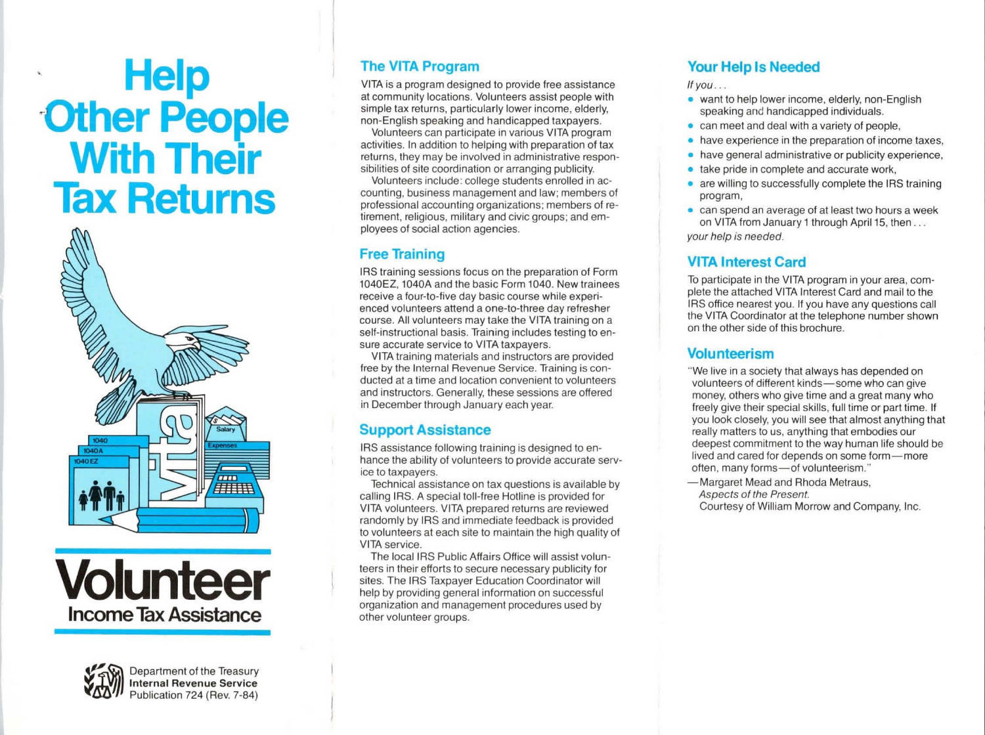# **Help ·Other People With Their Tax Returns**







**Department of the Treasury<br>Internal Revenue Service<br>Publication 724 (Rev. 7-84) Internal Revenue Service**  Publication 724 (Rev. 7-84)

### **The VITA Program**

VITA is a program designed to provide free assistance at community locations. Volunteers assist people with simple tax returns, particularly lower income, elderly, non-English speaking and handicapped taxpayers.

Volunteers can participate in various VITA program activities. In addition to helping with preparation of tax returns, they may be involved in administrative responsibilities of site coordination or arranging publicity.

Volunteers include: college students enrolled in accounting, business management and law; members of professional accounting organizations; members of retirement, religious, military and civic groups; and employees of social action agencies.

### **Free Training**

IRS training sessions focus on the preparation of Form 1040EZ, 1040A and the basic Form 1040. New trainees receive a four-to-five day basic course while experienced volunteers attend a one-to-three day refresher course. All volunteers may take the VITA training on a self-instructional basis. Training includes testing to ensure accurate service to VITA taxpayers.

VITA training materials and instructors are provided free by the Internal Revenue Service. Training is conducted at a time and location convenient to volunteers and instructors. Generally, these sessions are offered in December through January each year.

### **Support Assistance**

IRS assistance following training is designed to enhance the ability of volunteers to provide accurate service to taxpayers.

Technical assistance on tax questions is available by calling IRS. A special toll-free Hotline is provided for VITA volunteers. VITA prepared returns are reviewed randomly by IRS and immediate feedback is provided to volunteers at each site to maintain the high quality of VITA service.

The local IRS Public Affairs Office will assist volunteers in their efforts to secure necessary publicity for sites. The IRS Taxpayer Education Coordinator will help by providing general information on successful organization and management procedures used by other volunteer groups.

### **Your Help Is Needed**

If  $you...$ 

- want to help lower income, elderly, non-English speaking and handicapped individuals.
- can meet and deal with a variety of people,
- have experience in the preparation of income taxes,
- have general administrative or publicity experience,
- take pride in complete and accurate work,
- are willing to successfully complete the IRS training program,
- can spend an average of at least two hours a week on VITA from January 1 through April 15, then ... your help is needed.

### **VITA Interest Card**

To participate in the VITA program in your area, complete the attached VITA Interest Card and mail to the IRS office nearest you. If you have any questions call the VITA Coordinator at the telephone number shown on the other side of this brochure.

### **Volunteerism**

"We live in a society that always has depended on volunteers of different kinds-some who can give money, others who give time and a great many who freely give their special skills, full time or part time. If you look closely, you will see that almost anything that really matters to us, anything that embodies our deepest commitment to the way human life should be lived and cared for depends on some form-more often, many forms-of volunteerism."

- Margaret Mead and Rhoda Metraus, Aspects of the Present. Courtesy of William Morrow and Company, Inc.